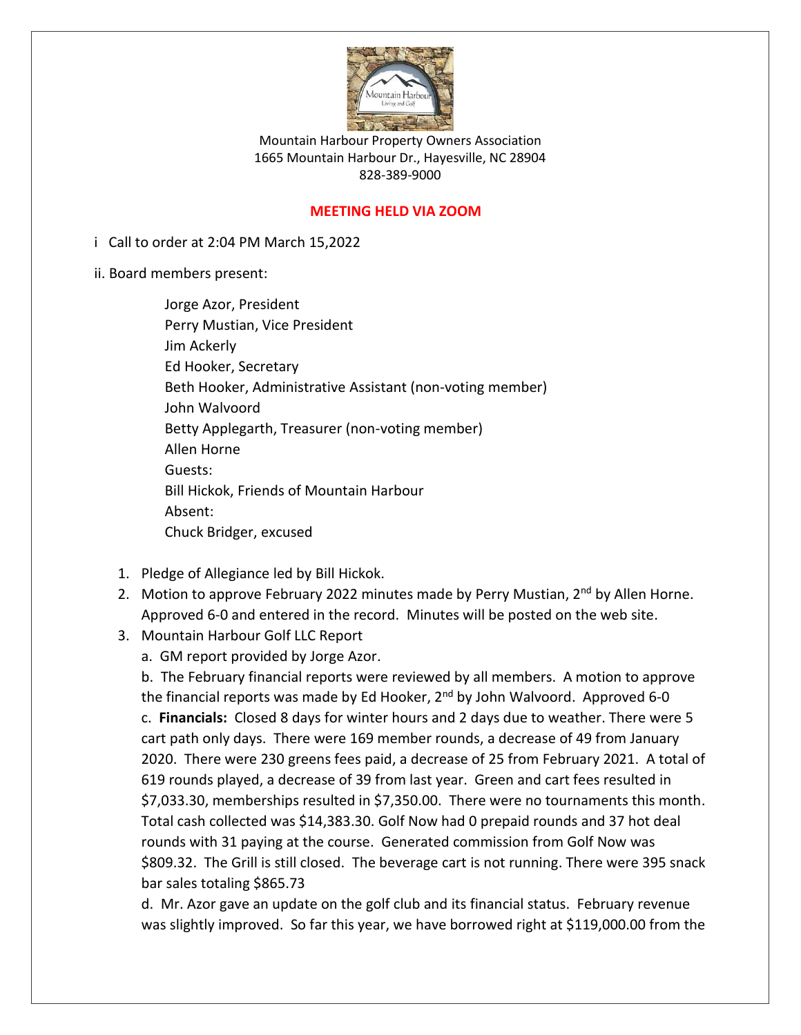

Mountain Harbour Property Owners Association 1665 Mountain Harbour Dr., Hayesville, NC 28904 828-389-9000

# **MEETING HELD VIA ZOOM**

i Call to order at 2:04 PM March 15,2022

ii. Board members present:

Jorge Azor, President Perry Mustian, Vice President Jim Ackerly Ed Hooker, Secretary Beth Hooker, Administrative Assistant (non-voting member) John Walvoord Betty Applegarth, Treasurer (non-voting member) Allen Horne Guests: Bill Hickok, Friends of Mountain Harbour Absent: Chuck Bridger, excused

- 1. Pledge of Allegiance led by Bill Hickok.
- 2. Motion to approve February 2022 minutes made by Perry Mustian, 2<sup>nd</sup> by Allen Horne. Approved 6-0 and entered in the record. Minutes will be posted on the web site.
- 3. Mountain Harbour Golf LLC Report
	- a. GM report provided by Jorge Azor.

b. The February financial reports were reviewed by all members. A motion to approve the financial reports was made by Ed Hooker, 2<sup>nd</sup> by John Walvoord. Approved 6-0 c. **Financials:** Closed 8 days for winter hours and 2 days due to weather. There were 5 cart path only days. There were 169 member rounds, a decrease of 49 from January 2020. There were 230 greens fees paid, a decrease of 25 from February 2021. A total of 619 rounds played, a decrease of 39 from last year. Green and cart fees resulted in \$7,033.30, memberships resulted in \$7,350.00. There were no tournaments this month. Total cash collected was \$14,383.30. Golf Now had 0 prepaid rounds and 37 hot deal rounds with 31 paying at the course. Generated commission from Golf Now was \$809.32. The Grill is still closed. The beverage cart is not running. There were 395 snack bar sales totaling \$865.73

d. Mr. Azor gave an update on the golf club and its financial status. February revenue was slightly improved. So far this year, we have borrowed right at \$119,000.00 from the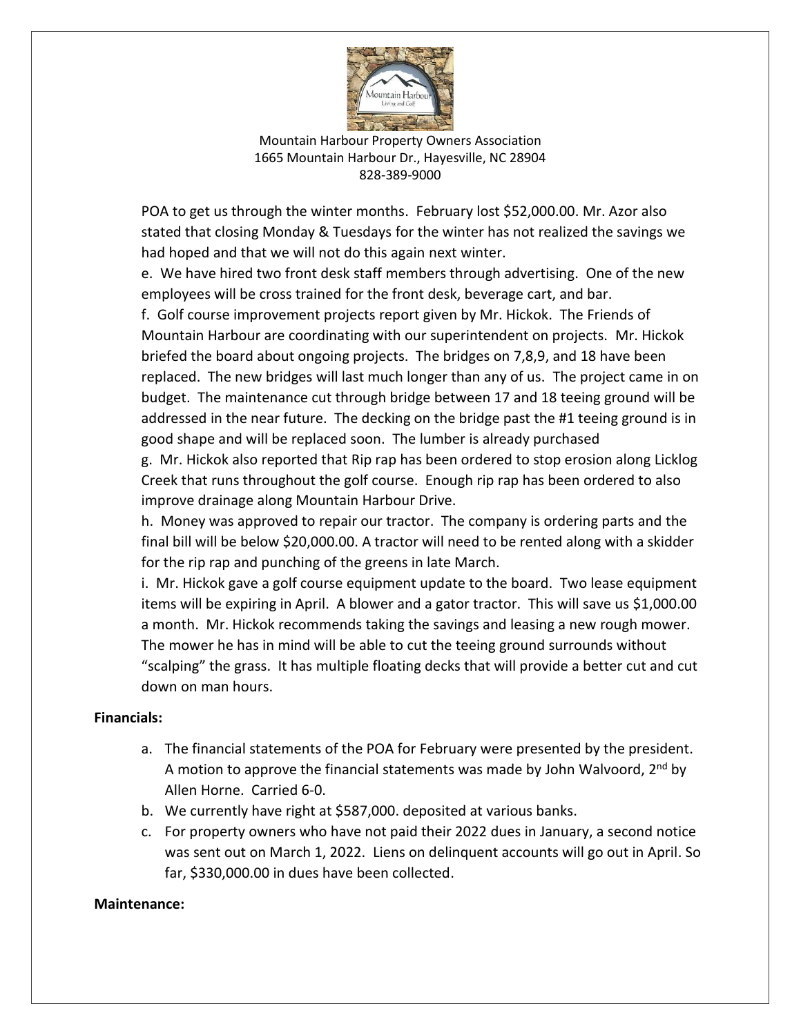

Mountain Harbour Property Owners Association 1665 Mountain Harbour Dr., Hayesville, NC 28904 828-389-9000

POA to get us through the winter months. February lost \$52,000.00. Mr. Azor also stated that closing Monday & Tuesdays for the winter has not realized the savings we had hoped and that we will not do this again next winter.

e. We have hired two front desk staff members through advertising. One of the new employees will be cross trained for the front desk, beverage cart, and bar.

f. Golf course improvement projects report given by Mr. Hickok. The Friends of Mountain Harbour are coordinating with our superintendent on projects. Mr. Hickok briefed the board about ongoing projects. The bridges on 7,8,9, and 18 have been replaced. The new bridges will last much longer than any of us. The project came in on budget. The maintenance cut through bridge between 17 and 18 teeing ground will be addressed in the near future. The decking on the bridge past the #1 teeing ground is in good shape and will be replaced soon. The lumber is already purchased

g. Mr. Hickok also reported that Rip rap has been ordered to stop erosion along Licklog Creek that runs throughout the golf course. Enough rip rap has been ordered to also improve drainage along Mountain Harbour Drive.

h. Money was approved to repair our tractor. The company is ordering parts and the final bill will be below \$20,000.00. A tractor will need to be rented along with a skidder for the rip rap and punching of the greens in late March.

i. Mr. Hickok gave a golf course equipment update to the board. Two lease equipment items will be expiring in April. A blower and a gator tractor. This will save us \$1,000.00 a month. Mr. Hickok recommends taking the savings and leasing a new rough mower. The mower he has in mind will be able to cut the teeing ground surrounds without "scalping" the grass. It has multiple floating decks that will provide a better cut and cut down on man hours.

## **Financials:**

- a. The financial statements of the POA for February were presented by the president. A motion to approve the financial statements was made by John Walvoord,  $2^{nd}$  by Allen Horne. Carried 6-0.
- b. We currently have right at \$587,000. deposited at various banks.
- c. For property owners who have not paid their 2022 dues in January, a second notice was sent out on March 1, 2022. Liens on delinquent accounts will go out in April. So far, \$330,000.00 in dues have been collected.

#### **Maintenance:**